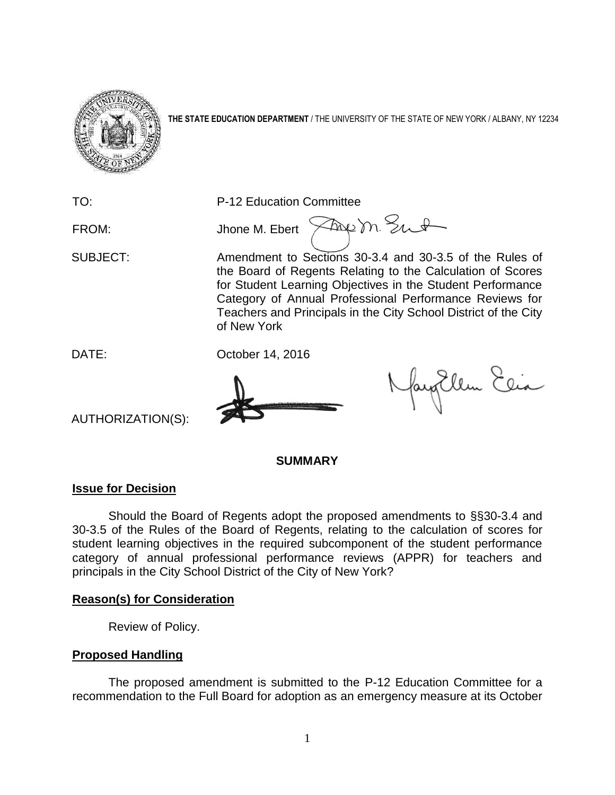

**THE STATE EDUCATION DEPARTMENT** / THE UNIVERSITY OF THE STATE OF NEW YORK / ALBANY, NY 12234

TO: P-12 Education Committee

FROM: Jhone M. Ebert  $\sqrt{2}$ 

SUBJECT: Amendment to Sections 30-3.4 and 30-3.5 of the Rules of the Board of Regents Relating to the Calculation of Scores for Student Learning Objectives in the Student Performance Category of Annual Professional Performance Reviews for Teachers and Principals in the City School District of the City of New York

DATE: October 14, 2016

fayEllen Elia

AUTHORIZATION(S):

#### **SUMMARY**

## **Issue for Decision**

Should the Board of Regents adopt the proposed amendments to §§30-3.4 and 30-3.5 of the Rules of the Board of Regents, relating to the calculation of scores for student learning objectives in the required subcomponent of the student performance category of annual professional performance reviews (APPR) for teachers and principals in the City School District of the City of New York?

## **Reason(s) for Consideration**

Review of Policy.

## **Proposed Handling**

The proposed amendment is submitted to the P-12 Education Committee for a recommendation to the Full Board for adoption as an emergency measure at its October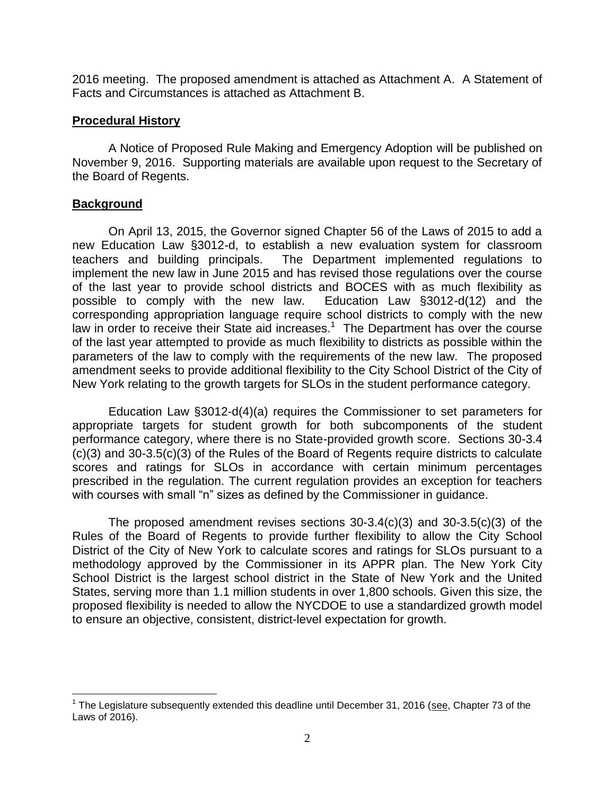2016 meeting. The proposed amendment is attached as Attachment A. A Statement of Facts and Circumstances is attached as Attachment B.

## **Procedural History**

A Notice of Proposed Rule Making and Emergency Adoption will be published on November 9, 2016. Supporting materials are available upon request to the Secretary of the Board of Regents.

## **Background**

 $\overline{a}$ 

On April 13, 2015, the Governor signed Chapter 56 of the Laws of 2015 to add a new Education Law §3012-d, to establish a new evaluation system for classroom teachers and building principals. The Department implemented regulations to implement the new law in June 2015 and has revised those regulations over the course of the last year to provide school districts and BOCES with as much flexibility as possible to comply with the new law. Education Law §3012-d(12) and the corresponding appropriation language require school districts to comply with the new law in order to receive their State aid increases.<sup>1</sup> The Department has over the course of the last year attempted to provide as much flexibility to districts as possible within the parameters of the law to comply with the requirements of the new law. The proposed amendment seeks to provide additional flexibility to the City School District of the City of New York relating to the growth targets for SLOs in the student performance category.

Education Law §3012-d(4)(a) requires the Commissioner to set parameters for appropriate targets for student growth for both subcomponents of the student performance category, where there is no State-provided growth score. Sections 30-3.4 (c)(3) and 30-3.5(c)(3) of the Rules of the Board of Regents require districts to calculate scores and ratings for SLOs in accordance with certain minimum percentages prescribed in the regulation. The current regulation provides an exception for teachers with courses with small "n" sizes as defined by the Commissioner in quidance.

The proposed amendment revises sections  $30-3.4(c)(3)$  and  $30-3.5(c)(3)$  of the Rules of the Board of Regents to provide further flexibility to allow the City School District of the City of New York to calculate scores and ratings for SLOs pursuant to a methodology approved by the Commissioner in its APPR plan. The New York City School District is the largest school district in the State of New York and the United States, serving more than 1.1 million students in over 1,800 schools. Given this size, the proposed flexibility is needed to allow the NYCDOE to use a standardized growth model to ensure an objective, consistent, district-level expectation for growth.

<sup>&</sup>lt;sup>1</sup> The Legislature subsequently extended this deadline until December 31, 2016 (see, Chapter 73 of the Laws of 2016).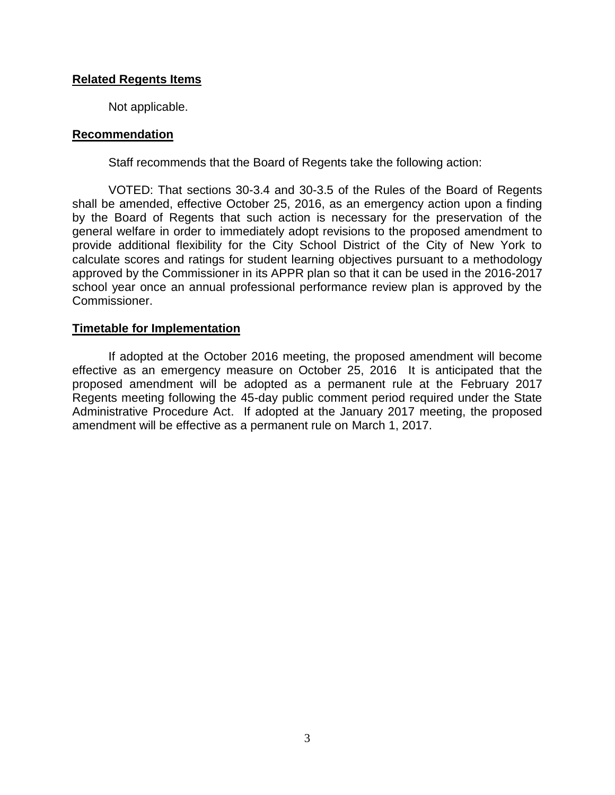## **Related Regents Items**

Not applicable.

#### **Recommendation**

Staff recommends that the Board of Regents take the following action:

VOTED: That sections 30-3.4 and 30-3.5 of the Rules of the Board of Regents shall be amended, effective October 25, 2016, as an emergency action upon a finding by the Board of Regents that such action is necessary for the preservation of the general welfare in order to immediately adopt revisions to the proposed amendment to provide additional flexibility for the City School District of the City of New York to calculate scores and ratings for student learning objectives pursuant to a methodology approved by the Commissioner in its APPR plan so that it can be used in the 2016-2017 school year once an annual professional performance review plan is approved by the Commissioner.

#### **Timetable for Implementation**

If adopted at the October 2016 meeting, the proposed amendment will become effective as an emergency measure on October 25, 2016 It is anticipated that the proposed amendment will be adopted as a permanent rule at the February 2017 Regents meeting following the 45-day public comment period required under the State Administrative Procedure Act. If adopted at the January 2017 meeting, the proposed amendment will be effective as a permanent rule on March 1, 2017.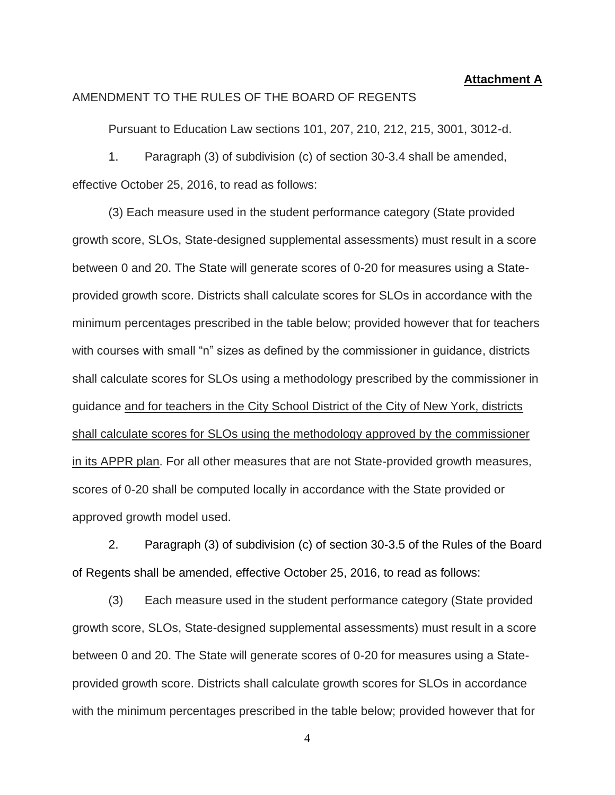#### **Attachment A**

#### AMENDMENT TO THE RULES OF THE BOARD OF REGENTS

Pursuant to Education Law sections 101, 207, 210, 212, 215, 3001, 3012-d.

1. Paragraph (3) of subdivision (c) of section 30-3.4 shall be amended, effective October 25, 2016, to read as follows:

(3) Each measure used in the student performance category (State provided growth score, SLOs, State-designed supplemental assessments) must result in a score between 0 and 20. The State will generate scores of 0-20 for measures using a Stateprovided growth score. Districts shall calculate scores for SLOs in accordance with the minimum percentages prescribed in the table below; provided however that for teachers with courses with small "n" sizes as defined by the commissioner in guidance, districts shall calculate scores for SLOs using a methodology prescribed by the commissioner in guidance and for teachers in the City School District of the City of New York, districts shall calculate scores for SLOs using the methodology approved by the commissioner in its APPR plan. For all other measures that are not State-provided growth measures, scores of 0-20 shall be computed locally in accordance with the State provided or approved growth model used.

2. Paragraph (3) of subdivision (c) of section 30-3.5 of the Rules of the Board of Regents shall be amended, effective October 25, 2016, to read as follows:

(3) Each measure used in the student performance category (State provided growth score, SLOs, State-designed supplemental assessments) must result in a score between 0 and 20. The State will generate scores of 0-20 for measures using a Stateprovided growth score. Districts shall calculate growth scores for SLOs in accordance with the minimum percentages prescribed in the table below; provided however that for

4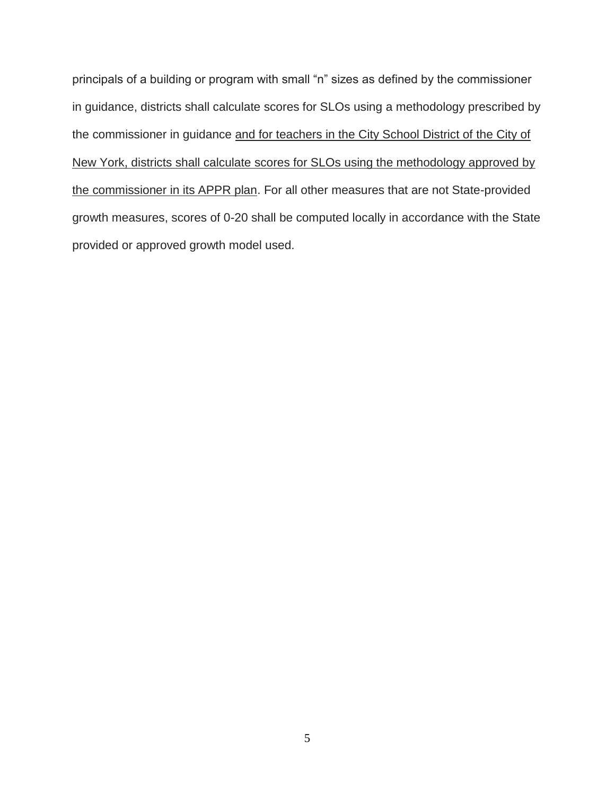principals of a building or program with small "n" sizes as defined by the commissioner in guidance, districts shall calculate scores for SLOs using a methodology prescribed by the commissioner in guidance and for teachers in the City School District of the City of New York, districts shall calculate scores for SLOs using the methodology approved by the commissioner in its APPR plan. For all other measures that are not State-provided growth measures, scores of 0-20 shall be computed locally in accordance with the State provided or approved growth model used.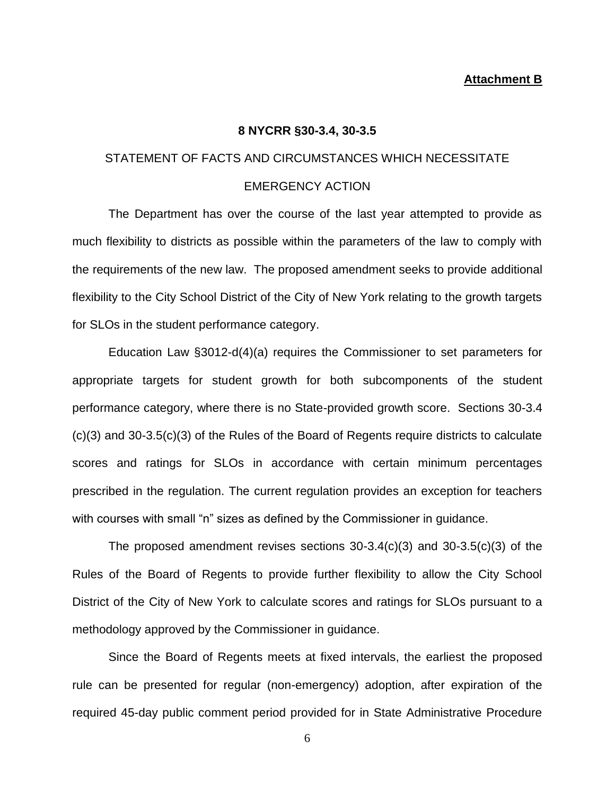#### **Attachment B**

#### **8 NYCRR §30-3.4, 30-3.5**

# STATEMENT OF FACTS AND CIRCUMSTANCES WHICH NECESSITATE

#### EMERGENCY ACTION

The Department has over the course of the last year attempted to provide as much flexibility to districts as possible within the parameters of the law to comply with the requirements of the new law. The proposed amendment seeks to provide additional flexibility to the City School District of the City of New York relating to the growth targets for SLOs in the student performance category.

Education Law §3012-d(4)(a) requires the Commissioner to set parameters for appropriate targets for student growth for both subcomponents of the student performance category, where there is no State-provided growth score. Sections 30-3.4 (c)(3) and 30-3.5(c)(3) of the Rules of the Board of Regents require districts to calculate scores and ratings for SLOs in accordance with certain minimum percentages prescribed in the regulation. The current regulation provides an exception for teachers with courses with small "n" sizes as defined by the Commissioner in guidance.

The proposed amendment revises sections 30-3.4(c)(3) and 30-3.5(c)(3) of the Rules of the Board of Regents to provide further flexibility to allow the City School District of the City of New York to calculate scores and ratings for SLOs pursuant to a methodology approved by the Commissioner in guidance.

Since the Board of Regents meets at fixed intervals, the earliest the proposed rule can be presented for regular (non-emergency) adoption, after expiration of the required 45-day public comment period provided for in State Administrative Procedure